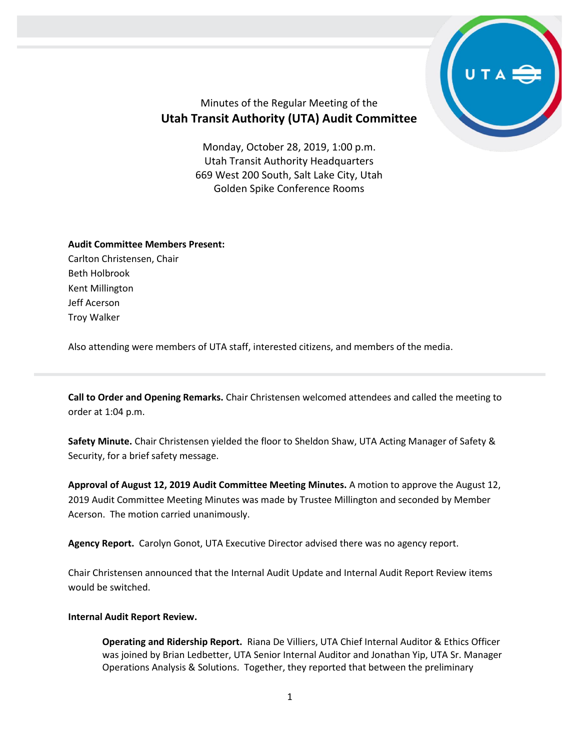

## Minutes of the Regular Meeting of the **Utah Transit Authority (UTA) Audit Committee**

Monday, October 28, 2019, 1:00 p.m. Utah Transit Authority Headquarters 669 West 200 South, Salt Lake City, Utah Golden Spike Conference Rooms

## **Audit Committee Members Present:**

Carlton Christensen, Chair Beth Holbrook Kent Millington Jeff Acerson Troy Walker

Also attending were members of UTA staff, interested citizens, and members of the media.

**Call to Order and Opening Remarks.** Chair Christensen welcomed attendees and called the meeting to order at 1:04 p.m.

**Safety Minute.** Chair Christensen yielded the floor to Sheldon Shaw, UTA Acting Manager of Safety & Security, for a brief safety message.

**Approval of August 12, 2019 Audit Committee Meeting Minutes.** A motion to approve the August 12, 2019 Audit Committee Meeting Minutes was made by Trustee Millington and seconded by Member Acerson. The motion carried unanimously.

**Agency Report.** Carolyn Gonot, UTA Executive Director advised there was no agency report.

Chair Christensen announced that the Internal Audit Update and Internal Audit Report Review items would be switched.

## **Internal Audit Report Review.**

**Operating and Ridership Report.** Riana De Villiers, UTA Chief Internal Auditor & Ethics Officer was joined by Brian Ledbetter, UTA Senior Internal Auditor and Jonathan Yip, UTA Sr. Manager Operations Analysis & Solutions. Together, they reported that between the preliminary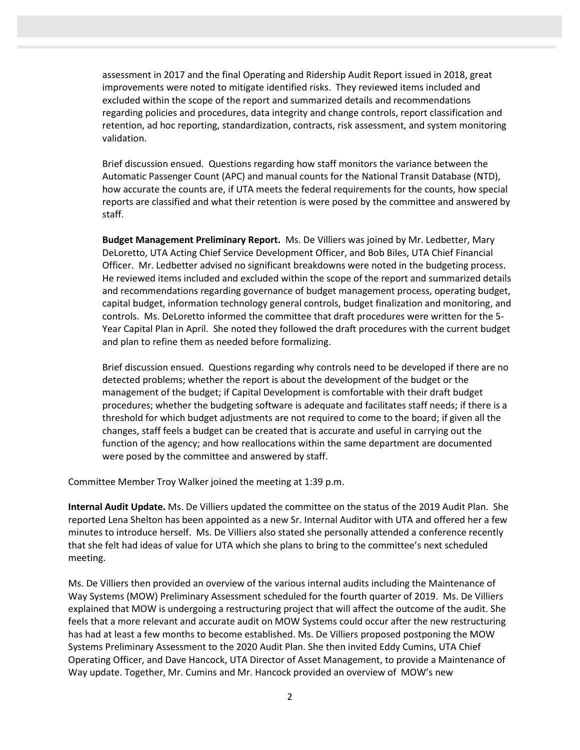assessment in 2017 and the final Operating and Ridership Audit Report issued in 2018, great improvements were noted to mitigate identified risks. They reviewed items included and excluded within the scope of the report and summarized details and recommendations regarding policies and procedures, data integrity and change controls, report classification and retention, ad hoc reporting, standardization, contracts, risk assessment, and system monitoring validation.

Brief discussion ensued. Questions regarding how staff monitors the variance between the Automatic Passenger Count (APC) and manual counts for the National Transit Database (NTD), how accurate the counts are, if UTA meets the federal requirements for the counts, how special reports are classified and what their retention is were posed by the committee and answered by staff.

**Budget Management Preliminary Report.** Ms. De Villiers was joined by Mr. Ledbetter, Mary DeLoretto, UTA Acting Chief Service Development Officer, and Bob Biles, UTA Chief Financial Officer. Mr. Ledbetter advised no significant breakdowns were noted in the budgeting process. He reviewed items included and excluded within the scope of the report and summarized details and recommendations regarding governance of budget management process, operating budget, capital budget, information technology general controls, budget finalization and monitoring, and controls. Ms. DeLoretto informed the committee that draft procedures were written for the 5- Year Capital Plan in April. She noted they followed the draft procedures with the current budget and plan to refine them as needed before formalizing.

Brief discussion ensued. Questions regarding why controls need to be developed if there are no detected problems; whether the report is about the development of the budget or the management of the budget; if Capital Development is comfortable with their draft budget procedures; whether the budgeting software is adequate and facilitates staff needs; if there is a threshold for which budget adjustments are not required to come to the board; if given all the changes, staff feels a budget can be created that is accurate and useful in carrying out the function of the agency; and how reallocations within the same department are documented were posed by the committee and answered by staff.

Committee Member Troy Walker joined the meeting at 1:39 p.m.

**Internal Audit Update.** Ms. De Villiers updated the committee on the status of the 2019 Audit Plan. She reported Lena Shelton has been appointed as a new Sr. Internal Auditor with UTA and offered her a few minutes to introduce herself. Ms. De Villiers also stated she personally attended a conference recently that she felt had ideas of value for UTA which she plans to bring to the committee's next scheduled meeting.

Ms. De Villiers then provided an overview of the various internal audits including the Maintenance of Way Systems (MOW) Preliminary Assessment scheduled for the fourth quarter of 2019. Ms. De Villiers explained that MOW is undergoing a restructuring project that will affect the outcome of the audit. She feels that a more relevant and accurate audit on MOW Systems could occur after the new restructuring has had at least a few months to become established. Ms. De Villiers proposed postponing the MOW Systems Preliminary Assessment to the 2020 Audit Plan. She then invited Eddy Cumins, UTA Chief Operating Officer, and Dave Hancock, UTA Director of Asset Management, to provide a Maintenance of Way update. Together, Mr. Cumins and Mr. Hancock provided an overview of MOW's new